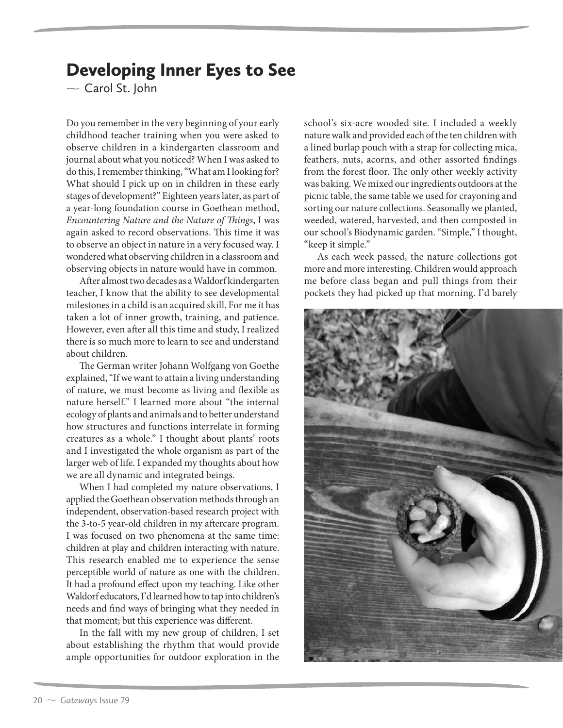## Developing Inner Eyes to See

 $\sim$  Carol St. John

Do you remember in the very beginning of your early childhood teacher training when you were asked to observe children in a kindergarten classroom and journal about what you noticed? When I was asked to do this, I remember thinking, "What am I looking for? What should I pick up on in children in these early stages of development?" Eighteen years later, as part of a year-long foundation course in Goethean method, Encountering Nature and the Nature of Things, I was again asked to record observations. This time it was to observe an object in nature in a very focused way. I wondered what observing children in a classroom and observing objects in nature would have in common.

After almost two decades as a Waldorf kindergarten teacher, I know that the ability to see developmental milestones in a child is an acquired skill. For me it has taken a lot of inner growth, training, and patience. However, even after all this time and study, I realized there is so much more to learn to see and understand about children.

The German writer Johann Wolfgang von Goethe explained, "If we want to attain a living understanding of nature, we must become as living and flexible as nature herself." I learned more about "the internal ecology of plants and animals and to better understand how structures and functions interrelate in forming creatures as a whole." I thought about plants' roots and I investigated the whole organism as part of the larger web of life. I expanded my thoughts about how we are all dynamic and integrated beings.

When I had completed my nature observations, I applied the Goethean observation methods through an independent, observation-based research project with the 3-to-5 year-old children in my aftercare program. I was focused on two phenomena at the same time: children at play and children interacting with nature. This research enabled me to experience the sense perceptible world of nature as one with the children. It had a profound effect upon my teaching. Like other Waldorf educators, I'd learned how to tap into children's needs and find ways of bringing what they needed in that moment; but this experience was different.

In the fall with my new group of children, I set about establishing the rhythm that would provide ample opportunities for outdoor exploration in the

school's six-acre wooded site. I included a weekly nature walk and provided each of the ten children with a lined burlap pouch with a strap for collecting mica, feathers, nuts, acorns, and other assorted findings from the forest floor. The only other weekly activity was baking. We mixed our ingredients outdoors at the picnic table, the same table we used for crayoning and sorting our nature collections. Seasonally we planted, weeded, watered, harvested, and then composted in our school's Biodynamic garden. "Simple," I thought, "keep it simple."

As each week passed, the nature collections got more and more interesting. Children would approach me before class began and pull things from their pockets they had picked up that morning. I'd barely

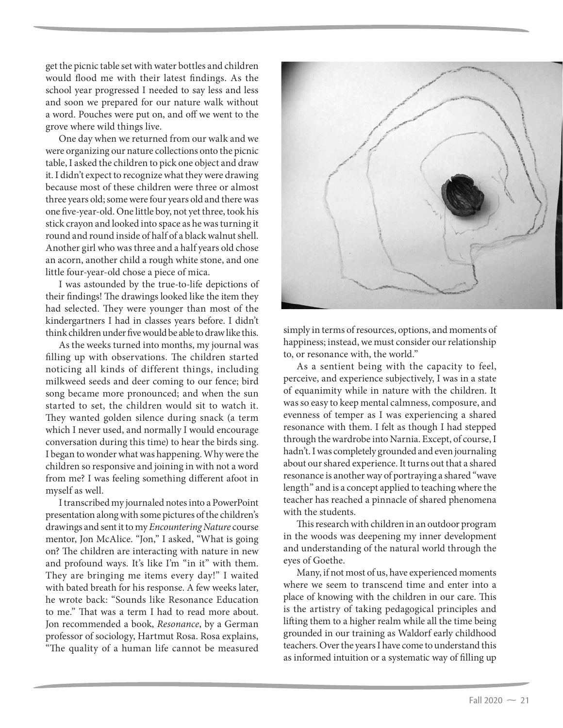get the picnic table set with water bottles and children would flood me with their latest findings. As the school year progressed I needed to say less and less and soon we prepared for our nature walk without a word. Pouches were put on, and off we went to the grove where wild things live.

One day when we returned from our walk and we were organizing our nature collections onto the picnic table, I asked the children to pick one object and draw it. I didn't expect to recognize what they were drawing because most of these children were three or almost three years old; some were four years old and there was one five-year-old. One little boy, not yet three, took his stick crayon and looked into space as he was turning it round and round inside of half of a black walnut shell. Another girl who was three and a half years old chose an acorn, another child a rough white stone, and one little four-year-old chose a piece of mica.

I was astounded by the true-to-life depictions of their findings! The drawings looked like the item they had selected. They were younger than most of the kindergartners I had in classes years before. I didn't think children under five would be able to draw like this.

As the weeks turned into months, my journal was filling up with observations. The children started noticing all kinds of different things, including milkweed seeds and deer coming to our fence; bird song became more pronounced; and when the sun started to set, the children would sit to watch it. They wanted golden silence during snack (a term which I never used, and normally I would encourage conversation during this time) to hear the birds sing. I began to wonder what was happening. Why were the children so responsive and joining in with not a word from me? I was feeling something different afoot in myself as well.

I transcribed my journaled notes into a PowerPoint presentation along with some pictures of the children's drawings and sent it to my Encountering Nature course mentor, Jon McAlice. "Jon," I asked, "What is going on? The children are interacting with nature in new and profound ways. It's like I'm "in it" with them. They are bringing me items every day!" I waited with bated breath for his response. A few weeks later, he wrote back: "Sounds like Resonance Education to me." That was a term I had to read more about. Jon recommended a book, Resonance, by a German professor of sociology, Hartmut Rosa. Rosa explains, "The quality of a human life cannot be measured



simply in terms of resources, options, and moments of happiness; instead, we must consider our relationship to, or resonance with, the world."

As a sentient being with the capacity to feel, perceive, and experience subjectively, I was in a state of equanimity while in nature with the children. It was so easy to keep mental calmness, composure, and evenness of temper as I was experiencing a shared resonance with them. I felt as though I had stepped through the wardrobe into Narnia. Except, of course, I hadn't. I was completely grounded and even journaling about our shared experience. It turns out that a shared resonance is another way of portraying a shared "wave length" and is a concept applied to teaching where the teacher has reached a pinnacle of shared phenomena with the students.

This research with children in an outdoor program in the woods was deepening my inner development and understanding of the natural world through the eyes of Goethe.

Many, if not most of us, have experienced moments where we seem to transcend time and enter into a place of knowing with the children in our care. This is the artistry of taking pedagogical principles and lifting them to a higher realm while all the time being grounded in our training as Waldorf early childhood teachers. Over the years I have come to understand this as informed intuition or a systematic way of filling up